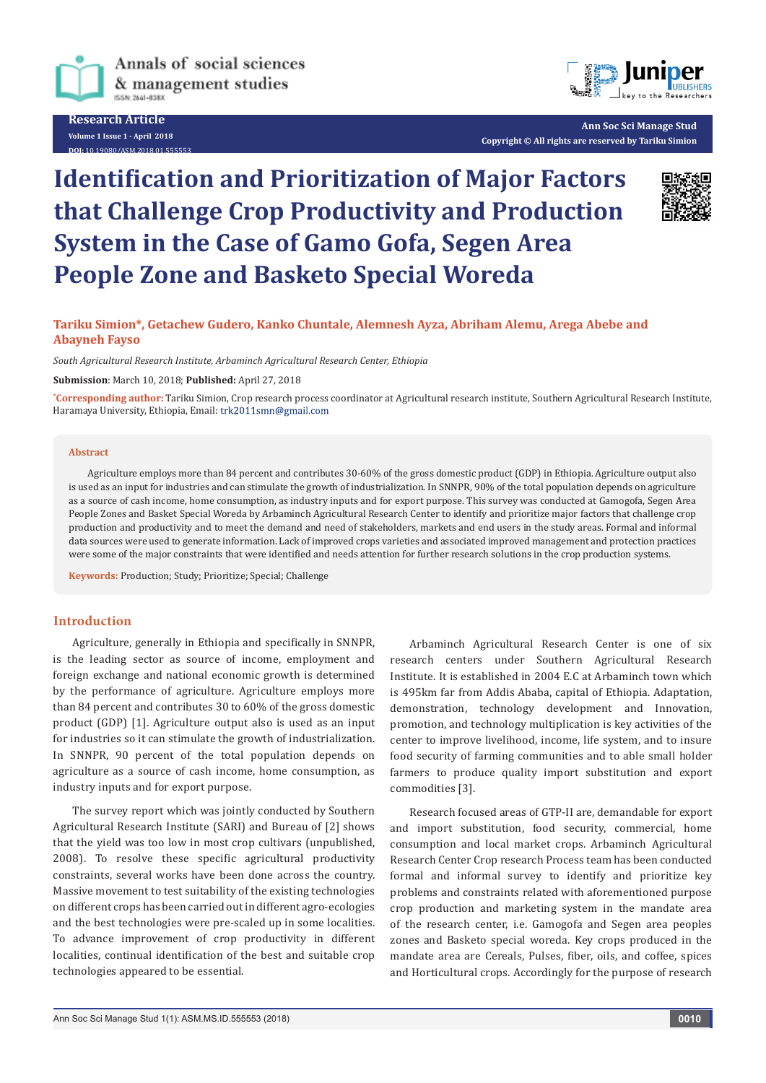

**Research Article Volume 1 Issue 1 - April 2018 10.19080/ASM.2018.01** 



**Ann Soc Sci Manage Stud Copyright © All rights are reserved by Tariku Simion**

# **Identification and Prioritization of Major Factors that Challenge Crop Productivity and Production System in the Case of Gamo Gofa, Segen Area People Zone and Basketo Special Woreda**



# **Tariku Simion\*, Getachew Gudero, Kanko Chuntale, Alemnesh Ayza, Abriham Alemu, Arega Abebe and Abayneh Fayso**

*South Agricultural Research Institute, Arbaminch Agricultural Research Center, Ethiopia*

**Submission**: March 10, 2018; **Published:** April 27, 2018

**\* Corresponding author:** Tariku Simion, Crop research process coordinator at Agricultural research institute, Southern Agricultural Research Institute, Haramaya University, Ethiopia, Email: trk2011smn@gmail.com

#### **Abstract**

Agriculture employs more than 84 percent and contributes 30-60% of the gross domestic product (GDP) in Ethiopia. Agriculture output also is used as an input for industries and can stimulate the growth of industrialization. In SNNPR, 90% of the total population depends on agriculture as a source of cash income, home consumption, as industry inputs and for export purpose. This survey was conducted at Gamogofa, Segen Area People Zones and Basket Special Woreda by Arbaminch Agricultural Research Center to identify and prioritize major factors that challenge crop production and productivity and to meet the demand and need of stakeholders, markets and end users in the study areas. Formal and informal data sources were used to generate information. Lack of improved crops varieties and associated improved management and protection practices were some of the major constraints that were identified and needs attention for further research solutions in the crop production systems.

**Keywords:** Production; Study; Prioritize; Special; Challenge

### **Introduction**

Agriculture, generally in Ethiopia and specifically in SNNPR, is the leading sector as source of income, employment and foreign exchange and national economic growth is determined by the performance of agriculture. Agriculture employs more than 84 percent and contributes 30 to 60% of the gross domestic product (GDP) [1]. Agriculture output also is used as an input for industries so it can stimulate the growth of industrialization. In SNNPR, 90 percent of the total population depends on agriculture as a source of cash income, home consumption, as industry inputs and for export purpose.

The survey report which was jointly conducted by Southern Agricultural Research Institute (SARI) and Bureau of [2] shows that the yield was too low in most crop cultivars (unpublished, 2008). To resolve these specific agricultural productivity constraints, several works have been done across the country. Massive movement to test suitability of the existing technologies on different crops has been carried out in different agro-ecologies and the best technologies were pre-scaled up in some localities. To advance improvement of crop productivity in different localities, continual identification of the best and suitable crop technologies appeared to be essential.

Arbaminch Agricultural Research Center is one of six research centers under Southern Agricultural Research Institute. It is established in 2004 E.C at Arbaminch town which is 495km far from Addis Ababa, capital of Ethiopia. Adaptation, demonstration, technology development and Innovation, promotion, and technology multiplication is key activities of the center to improve livelihood, income, life system, and to insure food security of farming communities and to able small holder farmers to produce quality import substitution and export commodities [3].

Research focused areas of GTP-II are, demandable for export and import substitution, food security, commercial, home consumption and local market crops. Arbaminch Agricultural Research Center Crop research Process team has been conducted formal and informal survey to identify and prioritize key problems and constraints related with aforementioned purpose crop production and marketing system in the mandate area of the research center, i.e. Gamogofa and Segen area peoples zones and Basketo special woreda. Key crops produced in the mandate area are Cereals, Pulses, fiber, oils, and coffee, spices and Horticultural crops. Accordingly for the purpose of research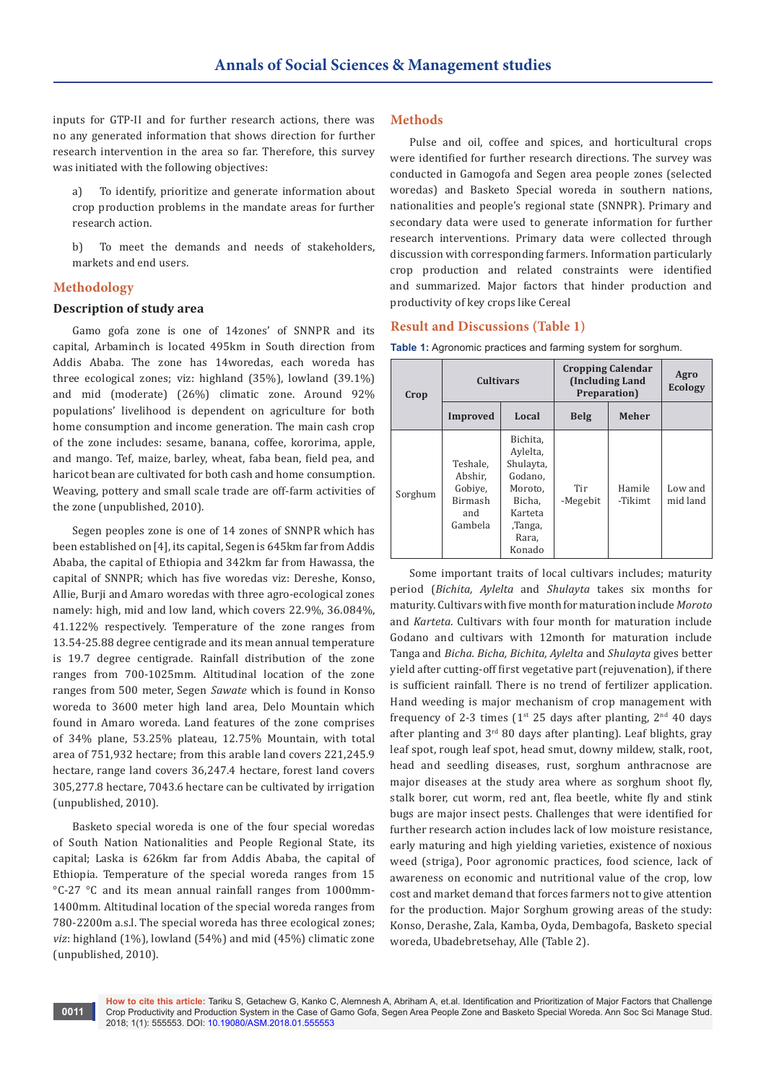inputs for GTP-II and for further research actions, there was no any generated information that shows direction for further research intervention in the area so far. Therefore, this survey was initiated with the following objectives:

a) To identify, prioritize and generate information about crop production problems in the mandate areas for further research action.

b) To meet the demands and needs of stakeholders, markets and end users.

#### **Methodology**

#### **Description of study area**

Gamo gofa zone is one of 14zones' of SNNPR and its capital, Arbaminch is located 495km in South direction from Addis Ababa. The zone has 14woredas, each woreda has three ecological zones; viz: highland (35%), lowland (39.1%) and mid (moderate) (26%) climatic zone. Around 92% populations' livelihood is dependent on agriculture for both home consumption and income generation. The main cash crop of the zone includes: sesame, banana, coffee, kororima, apple, and mango. Tef, maize, barley, wheat, faba bean, field pea, and haricot bean are cultivated for both cash and home consumption. Weaving, pottery and small scale trade are off-farm activities of the zone (unpublished, 2010).

Segen peoples zone is one of 14 zones of SNNPR which has been established on [4], its capital, Segen is 645km far from Addis Ababa, the capital of Ethiopia and 342km far from Hawassa, the capital of SNNPR; which has five woredas viz: Dereshe, Konso, Allie, Burji and Amaro woredas with three agro-ecological zones namely: high, mid and low land, which covers 22.9%, 36.084%, 41.122% respectively. Temperature of the zone ranges from 13.54-25.88 degree centigrade and its mean annual temperature is 19.7 degree centigrade. Rainfall distribution of the zone ranges from 700-1025mm. Altitudinal location of the zone ranges from 500 meter, Segen *Sawate* which is found in Konso woreda to 3600 meter high land area, Delo Mountain which found in Amaro woreda. Land features of the zone comprises of 34% plane, 53.25% plateau, 12.75% Mountain, with total area of 751,932 hectare; from this arable land covers 221,245.9 hectare, range land covers 36,247.4 hectare, forest land covers 305,277.8 hectare, 7043.6 hectare can be cultivated by irrigation (unpublished, 2010).

Basketo special woreda is one of the four special woredas of South Nation Nationalities and People Regional State, its capital; Laska is 626km far from Addis Ababa, the capital of Ethiopia. Temperature of the special woreda ranges from 15 °C-27 °C and its mean annual rainfall ranges from 1000mm-1400mm. Altitudinal location of the special woreda ranges from 780-2200m a.s.l. The special woreda has three ecological zones; *viz*: highland (1%), lowland (54%) and mid (45%) climatic zone (unpublished, 2010).

## **Methods**

Pulse and oil, coffee and spices, and horticultural crops were identified for further research directions. The survey was conducted in Gamogofa and Segen area people zones (selected woredas) and Basketo Special woreda in southern nations, nationalities and people's regional state (SNNPR). Primary and secondary data were used to generate information for further research interventions. Primary data were collected through discussion with corresponding farmers. Information particularly crop production and related constraints were identified and summarized. Major factors that hinder production and productivity of key crops like Cereal

#### **Result and Discussions (Table 1)**

| <b>Table 1:</b> Agronomic practices and farming system for sorghum. |  |  |
|---------------------------------------------------------------------|--|--|
|---------------------------------------------------------------------|--|--|

| Crop    | <b>Cultivars</b>                                                   |                                                                                                            | <b>Cropping Calendar</b><br>(Including Land)<br>Preparation) | Agro<br><b>Ecology</b> |                     |
|---------|--------------------------------------------------------------------|------------------------------------------------------------------------------------------------------------|--------------------------------------------------------------|------------------------|---------------------|
|         | <b>Improved</b>                                                    | Local                                                                                                      | <b>Belg</b>                                                  | <b>Meher</b>           |                     |
| Sorghum | Teshale.<br>Abshir,<br>Gobive,<br><b>Birmash</b><br>and<br>Gambela | Bichita,<br>Aylelta,<br>Shulayta,<br>Godano.<br>Moroto.<br>Bicha.<br>Karteta<br>,Tanga,<br>Rara,<br>Konado | Tir<br>-Megebit                                              | Hamile<br>-Tikimt      | Low and<br>mid land |

Some important traits of local cultivars includes; maturity period (*Bichita, Aylelta* and *Shulayta* takes six months for maturity. Cultivars with five month for maturation include *Moroto*  and *Karteta*. Cultivars with four month for maturation include Godano and cultivars with 12month for maturation include Tanga and *Bicha. Bicha, Bichita, Aylelta* and *Shulayta* gives better yield after cutting-off first vegetative part (rejuvenation), if there is sufficient rainfall. There is no trend of fertilizer application. Hand weeding is major mechanism of crop management with frequency of 2-3 times ( $1<sup>st</sup>$  25 days after planting,  $2<sup>nd</sup>$  40 days after planting and 3rd 80 days after planting). Leaf blights, gray leaf spot, rough leaf spot, head smut, downy mildew, stalk, root, head and seedling diseases, rust, sorghum anthracnose are major diseases at the study area where as sorghum shoot fly, stalk borer, cut worm, red ant, flea beetle, white fly and stink bugs are major insect pests. Challenges that were identified for further research action includes lack of low moisture resistance, early maturing and high yielding varieties, existence of noxious weed (striga), Poor agronomic practices, food science, lack of awareness on economic and nutritional value of the crop, low cost and market demand that forces farmers not to give attention for the production. Major Sorghum growing areas of the study: Konso, Derashe, Zala, Kamba, Oyda, Dembagofa, Basketo special woreda, Ubadebretsehay, Alle (Table 2).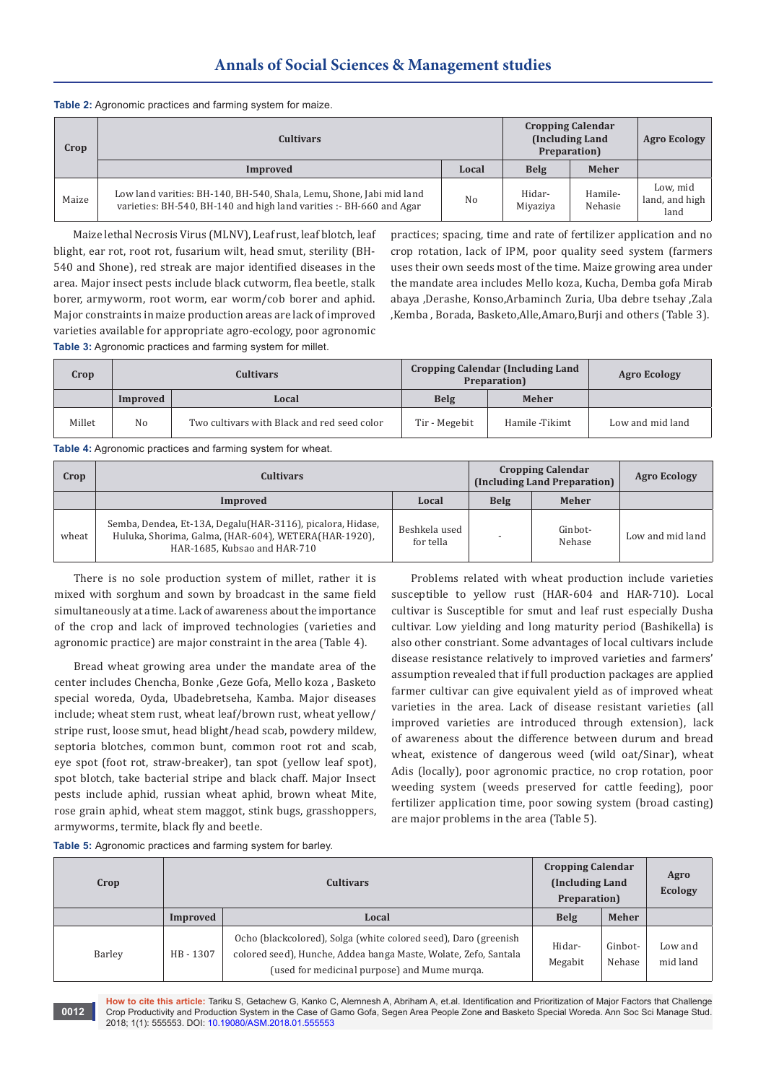# **Annals of Social Sciences & Management studies**

|  |  |  | Table 2: Agronomic practices and farming system for maize. |  |
|--|--|--|------------------------------------------------------------|--|
|--|--|--|------------------------------------------------------------|--|

| Crop  | <b>Cultivars</b>                                                                                                                            |       | <b>Cropping Calendar</b><br>(Including Land)<br>Preparation) |                    | <b>Agro Ecology</b>                |
|-------|---------------------------------------------------------------------------------------------------------------------------------------------|-------|--------------------------------------------------------------|--------------------|------------------------------------|
|       | Improved                                                                                                                                    | Local | Belg                                                         | <b>Meher</b>       |                                    |
| Maize | Low land varities: BH-140, BH-540, Shala, Lemu, Shone, Jabi mid land<br>varieties: BH-540, BH-140 and high land varities :- BH-660 and Agar | No    | Hidar-<br>Miyaziya                                           | Hamile-<br>Nehasie | Low, mid<br>land, and high<br>land |

Maize lethal Necrosis Virus (MLNV), Leaf rust, leaf blotch, leaf blight, ear rot, root rot, fusarium wilt, head smut, sterility (BH-540 and Shone), red streak are major identified diseases in the area. Major insect pests include black cutworm, flea beetle, stalk borer, armyworm, root worm, ear worm/cob borer and aphid. Major constraints in maize production areas are lack of improved varieties available for appropriate agro-ecology, poor agronomic **Table 3:** Agronomic practices and farming system for millet.

practices; spacing, time and rate of fertilizer application and no crop rotation, lack of IPM, poor quality seed system (farmers uses their own seeds most of the time. Maize growing area under the mandate area includes Mello koza, Kucha, Demba gofa Mirab abaya ,Derashe, Konso,Arbaminch Zuria, Uba debre tsehay ,Zala ,Kemba , Borada, Basketo,Alle,Amaro,Burji and others (Table 3).

| Crop   | <b>Cultivars</b> |                                             |                      | <b>Cropping Calendar (Including Land</b><br>Preparation) | <b>Agro Ecology</b> |
|--------|------------------|---------------------------------------------|----------------------|----------------------------------------------------------|---------------------|
|        | Improved         | Local                                       | <b>Belg</b><br>Meher |                                                          |                     |
| Millet | No               | Two cultivars with Black and red seed color | Tir - Megebit        | Hamile -Tikimt                                           | Low and mid land    |

**Table 4:** Agronomic practices and farming system for wheat.

| Crop  | <b>Cultivars</b>                                                                                                                                    | <b>Cropping Calendar</b><br>(Including Land Preparation) | <b>Agro Ecology</b> |                   |                  |
|-------|-----------------------------------------------------------------------------------------------------------------------------------------------------|----------------------------------------------------------|---------------------|-------------------|------------------|
|       | Improved                                                                                                                                            | Local                                                    | Belg                | <b>Meher</b>      |                  |
| wheat | Semba, Dendea, Et-13A, Degalu (HAR-3116), picalora, Hidase,<br>Huluka, Shorima, Galma, (HAR-604), WETERA(HAR-1920),<br>HAR-1685, Kubsao and HAR-710 | Beshkela used<br>for tella                               |                     | Ginbot-<br>Nehase | Low and mid land |

There is no sole production system of millet, rather it is mixed with sorghum and sown by broadcast in the same field simultaneously at a time. Lack of awareness about the importance of the crop and lack of improved technologies (varieties and agronomic practice) are major constraint in the area (Table 4).

Bread wheat growing area under the mandate area of the center includes Chencha, Bonke ,Geze Gofa, Mello koza , Basketo special woreda, Oyda, Ubadebretseha, Kamba. Major diseases include; wheat stem rust, wheat leaf/brown rust, wheat yellow/ stripe rust, loose smut, head blight/head scab, powdery mildew, septoria blotches, common bunt, common root rot and scab, eye spot (foot rot, straw-breaker), tan spot (yellow leaf spot), spot blotch, take bacterial stripe and black chaff. Major Insect pests include aphid, russian wheat aphid, brown wheat Mite, rose grain aphid, wheat stem maggot, stink bugs, grasshoppers, armyworms, termite, black fly and beetle.

Problems related with wheat production include varieties susceptible to yellow rust (HAR-604 and HAR-710). Local cultivar is Susceptible for smut and leaf rust especially Dusha cultivar. Low yielding and long maturity period (Bashikella) is also other constriant. Some advantages of local cultivars include disease resistance relatively to improved varieties and farmers' assumption revealed that if full production packages are applied farmer cultivar can give equivalent yield as of improved wheat varieties in the area. Lack of disease resistant varieties (all improved varieties are introduced through extension), lack of awareness about the difference between durum and bread wheat, existence of dangerous weed (wild oat/Sinar), wheat Adis (locally), poor agronomic practice, no crop rotation, poor weeding system (weeds preserved for cattle feeding), poor fertilizer application time, poor sowing system (broad casting) are major problems in the area (Table 5).

**Table 5:** Agronomic practices and farming system for barley.

| Crop   | <b>Cultivars</b> |                                                                                                                                                                                    | <b>Cropping Calendar</b><br>(Including Land<br>Preparation) |                   | Agro<br>Ecology     |
|--------|------------------|------------------------------------------------------------------------------------------------------------------------------------------------------------------------------------|-------------------------------------------------------------|-------------------|---------------------|
|        | Improved         | Local                                                                                                                                                                              |                                                             | <b>Meher</b>      |                     |
| Barley | HB-1307          | Ocho (blackcolored), Solga (white colored seed), Daro (greenish<br>colored seed), Hunche, Addea banga Maste, Wolate, Zefo, Santala<br>(used for medicinal purpose) and Mume murga. | Hidar-<br>Megabit                                           | Ginbot-<br>Nehase | Low and<br>mid land |

**How to cite this article:** Tariku S, Getachew G, Kanko C, Alemnesh A, Abriham A, et.al. Identification and Prioritization of Major Factors that Challenge Crop Productivity and Production System in the Case of Gamo Gofa, Segen Area People Zone and Basketo Special Woreda. Ann Soc Sci Manage Stud. 2018; 1(1): 555553. DOI: [10.19080/ASM.2018.01.555553](http://dx.doi.org/10.19080/ASM.2018.01.555553
)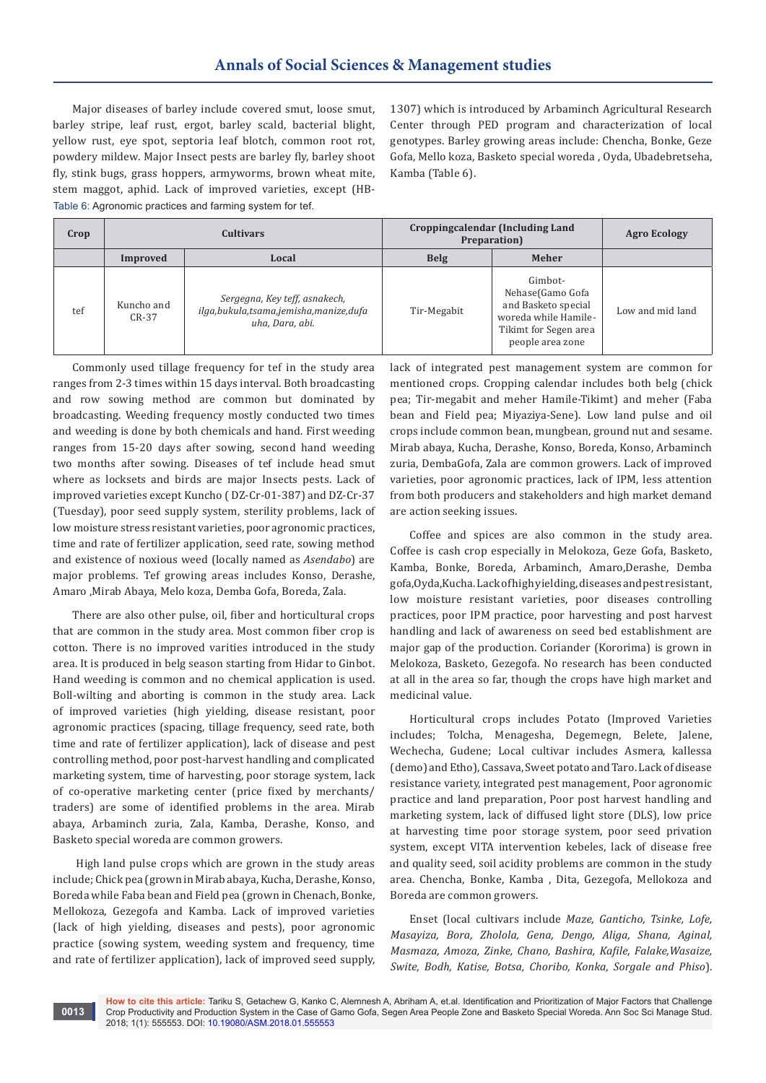Major diseases of barley include covered smut, loose smut, barley stripe, leaf rust, ergot, barley scald, bacterial blight, yellow rust, eye spot, septoria leaf blotch, common root rot, powdery mildew. Major Insect pests are barley fly, barley shoot fly, stink bugs, grass hoppers, armyworms, brown wheat mite, stem maggot, aphid. Lack of improved varieties, except (HB-Table 6: Agronomic practices and farming system for tef.

1307) which is introduced by Arbaminch Agricultural Research Center through PED program and characterization of local genotypes. Barley growing areas include: Chencha, Bonke, Geze Gofa, Mello koza, Basketo special woreda , Oyda, Ubadebretseha, Kamba (Table 6).

| Crop | <b>Cultivars</b>      |                                                                                                | Croppingcalendar (Including Land<br>Preparation) |                                                                                                                         | <b>Agro Ecology</b> |
|------|-----------------------|------------------------------------------------------------------------------------------------|--------------------------------------------------|-------------------------------------------------------------------------------------------------------------------------|---------------------|
|      | Improved              | Local                                                                                          | <b>Belg</b>                                      | Meher                                                                                                                   |                     |
| tef  | Kuncho and<br>$CR-37$ | Sergegna, Key teff, asnakech,<br>ilga, bukula, tsama, jemisha, manize, dufa<br>uha, Dara, abi. | Tir-Megabit                                      | Gimbot-<br>Nehase(Gamo Gofa<br>and Basketo special<br>woreda while Hamile-<br>Tikimt for Segen area<br>people area zone | Low and mid land    |

Commonly used tillage frequency for tef in the study area ranges from 2-3 times within 15 days interval. Both broadcasting and row sowing method are common but dominated by broadcasting. Weeding frequency mostly conducted two times and weeding is done by both chemicals and hand. First weeding ranges from 15-20 days after sowing, second hand weeding two months after sowing. Diseases of tef include head smut where as locksets and birds are major Insects pests. Lack of improved varieties except Kuncho ( DZ-Cr-01-387) and DZ-Cr-37 (Tuesday), poor seed supply system, sterility problems, lack of low moisture stress resistant varieties, poor agronomic practices, time and rate of fertilizer application, seed rate, sowing method and existence of noxious weed (locally named as *Asendabo*) are major problems. Tef growing areas includes Konso, Derashe, Amaro ,Mirab Abaya, Melo koza, Demba Gofa, Boreda, Zala.

There are also other pulse, oil, fiber and horticultural crops that are common in the study area. Most common fiber crop is cotton. There is no improved varities introduced in the study area. It is produced in belg season starting from Hidar to Ginbot. Hand weeding is common and no chemical application is used. Boll-wilting and aborting is common in the study area. Lack of improved varieties (high yielding, disease resistant, poor agronomic practices (spacing, tillage frequency, seed rate, both time and rate of fertilizer application), lack of disease and pest controlling method, poor post-harvest handling and complicated marketing system, time of harvesting, poor storage system, lack of co-operative marketing center (price fixed by merchants/ traders) are some of identified problems in the area. Mirab abaya, Arbaminch zuria, Zala, Kamba, Derashe, Konso, and Basketo special woreda are common growers.

 High land pulse crops which are grown in the study areas include; Chick pea (grown in Mirab abaya, Kucha, Derashe, Konso, Boreda while Faba bean and Field pea (grown in Chenach, Bonke, Mellokoza, Gezegofa and Kamba. Lack of improved varieties (lack of high yielding, diseases and pests), poor agronomic practice (sowing system, weeding system and frequency, time and rate of fertilizer application), lack of improved seed supply,

**0013**

lack of integrated pest management system are common for mentioned crops. Cropping calendar includes both belg (chick pea; Tir-megabit and meher Hamile-Tikimt) and meher (Faba bean and Field pea; Miyaziya-Sene). Low land pulse and oil crops include common bean, mungbean, ground nut and sesame. Mirab abaya, Kucha, Derashe, Konso, Boreda, Konso, Arbaminch zuria, DembaGofa, Zala are common growers. Lack of improved varieties, poor agronomic practices, lack of IPM, less attention from both producers and stakeholders and high market demand are action seeking issues.

Coffee and spices are also common in the study area. Coffee is cash crop especially in Melokoza, Geze Gofa, Basketo, Kamba, Bonke, Boreda, Arbaminch, Amaro,Derashe, Demba gofa,Oyda,Kucha. Lack of high yielding, diseases and pest resistant, low moisture resistant varieties, poor diseases controlling practices, poor IPM practice, poor harvesting and post harvest handling and lack of awareness on seed bed establishment are major gap of the production. Coriander (Kororima) is grown in Melokoza, Basketo, Gezegofa. No research has been conducted at all in the area so far, though the crops have high market and medicinal value.

Horticultural crops includes Potato (Improved Varieties includes; Tolcha, Menagesha, Degemegn, Belete, Jalene, Wechecha, Gudene; Local cultivar includes Asmera, kallessa (demo) and Etho), Cassava, Sweet potato and Taro. Lack of disease resistance variety, integrated pest management, Poor agronomic practice and land preparation, Poor post harvest handling and marketing system, lack of diffused light store (DLS), low price at harvesting time poor storage system, poor seed privation system, except VITA intervention kebeles, lack of disease free and quality seed, soil acidity problems are common in the study area. Chencha, Bonke, Kamba , Dita, Gezegofa, Mellokoza and Boreda are common growers.

Enset (local cultivars include *Maze, Ganticho, Tsinke, Lofe, Masayiza, Bora, Zholola, Gena, Dengo, Aliga, Shana, Aginal, Masmaza, Amoza, Zinke, Chano, Bashira, Kafile, Falake,Wasaize, Swite, Bodh, Katise, Botsa, Choribo, Konka, Sorgale and Phiso*).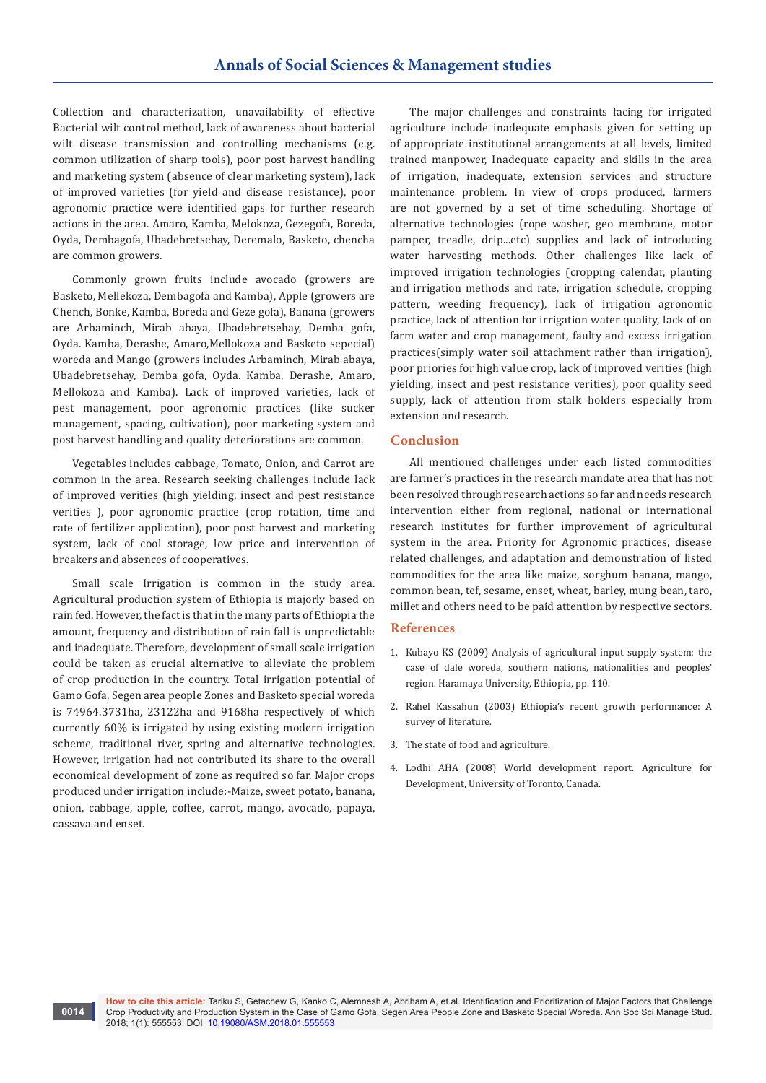Collection and characterization, unavailability of effective Bacterial wilt control method, lack of awareness about bacterial wilt disease transmission and controlling mechanisms (e.g. common utilization of sharp tools), poor post harvest handling and marketing system (absence of clear marketing system), lack of improved varieties (for yield and disease resistance), poor agronomic practice were identified gaps for further research actions in the area. Amaro, Kamba, Melokoza, Gezegofa, Boreda, Oyda, Dembagofa, Ubadebretsehay, Deremalo, Basketo, chencha are common growers.

Commonly grown fruits include avocado (growers are Basketo, Mellekoza, Dembagofa and Kamba), Apple (growers are Chench, Bonke, Kamba, Boreda and Geze gofa), Banana (growers are Arbaminch, Mirab abaya, Ubadebretsehay, Demba gofa, Oyda. Kamba, Derashe, Amaro,Mellokoza and Basketo sepecial) woreda and Mango (growers includes Arbaminch, Mirab abaya, Ubadebretsehay, Demba gofa, Oyda. Kamba, Derashe, Amaro, Mellokoza and Kamba). Lack of improved varieties, lack of pest management, poor agronomic practices (like sucker management, spacing, cultivation), poor marketing system and post harvest handling and quality deteriorations are common.

Vegetables includes cabbage, Tomato, Onion, and Carrot are common in the area. Research seeking challenges include lack of improved verities (high yielding, insect and pest resistance verities ), poor agronomic practice (crop rotation, time and rate of fertilizer application), poor post harvest and marketing system, lack of cool storage, low price and intervention of breakers and absences of cooperatives.

Small scale Irrigation is common in the study area. Agricultural production system of Ethiopia is majorly based on rain fed. However, the fact is that in the many parts of Ethiopia the amount, frequency and distribution of rain fall is unpredictable and inadequate. Therefore, development of small scale irrigation could be taken as crucial alternative to alleviate the problem of crop production in the country. Total irrigation potential of Gamo Gofa, Segen area people Zones and Basketo special woreda is 74964.3731ha, 23122ha and 9168ha respectively of which currently 60% is irrigated by using existing modern irrigation scheme, traditional river, spring and alternative technologies. However, irrigation had not contributed its share to the overall economical development of zone as required so far. Major crops produced under irrigation include:-Maize, sweet potato, banana, onion, cabbage, apple, coffee, carrot, mango, avocado, papaya, cassava and enset.

The major challenges and constraints facing for irrigated agriculture include inadequate emphasis given for setting up of appropriate institutional arrangements at all levels, limited trained manpower, Inadequate capacity and skills in the area of irrigation, inadequate, extension services and structure maintenance problem. In view of crops produced, farmers are not governed by a set of time scheduling. Shortage of alternative technologies (rope washer, geo membrane, motor pamper, treadle, drip...etc) supplies and lack of introducing water harvesting methods. Other challenges like lack of improved irrigation technologies (cropping calendar, planting and irrigation methods and rate, irrigation schedule, cropping pattern, weeding frequency), lack of irrigation agronomic practice, lack of attention for irrigation water quality, lack of on farm water and crop management, faulty and excess irrigation practices(simply water soil attachment rather than irrigation), poor priories for high value crop, lack of improved verities (high yielding, insect and pest resistance verities), poor quality seed supply, lack of attention from stalk holders especially from extension and research.

#### **Conclusion**

All mentioned challenges under each listed commodities are farmer's practices in the research mandate area that has not been resolved through research actions so far and needs research intervention either from regional, national or international research institutes for further improvement of agricultural system in the area. Priority for Agronomic practices, disease related challenges, and adaptation and demonstration of listed commodities for the area like maize, sorghum banana, mango, common bean, tef, sesame, enset, wheat, barley, mung bean, taro, millet and others need to be paid attention by respective sectors.

#### **References**

- 1. [Kubayo KS \(2009\) Analysis of agricultural input supply system: the](https://cgspace.cgiar.org/handle/10568/703)  [case of dale woreda, southern nations, nationalities and peoples'](https://cgspace.cgiar.org/handle/10568/703)  [region. Haramaya University, Ethiopia, pp. 110.](https://cgspace.cgiar.org/handle/10568/703)
- 2. Rahel Kassahun (2003) Ethiopia's recent growth performance: A survey of literature.
- 3. [The state of food and agriculture.](http://www.fao.org/economic/esa/esag/en/)
- 4. Lodhi AHA (2008) World development report. Agriculture for Development, University of Toronto, Canada.